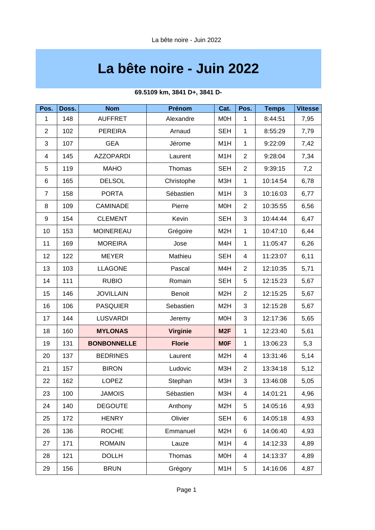# **La bête noire - Juin 2022**

| Pos.           | Doss. | <b>Nom</b>         | Prénom          | Cat.             | Pos.           | <b>Temps</b> | <b>Vitesse</b> |
|----------------|-------|--------------------|-----------------|------------------|----------------|--------------|----------------|
| $\mathbf{1}$   | 148   | <b>AUFFRET</b>     | Alexandre       | <b>MOH</b>       | $\mathbf{1}$   | 8:44:51      | 7,95           |
| $\overline{c}$ | 102   | <b>PEREIRA</b>     | Arnaud          | <b>SEH</b>       | $\mathbf{1}$   | 8:55:29      | 7,79           |
| 3              | 107   | <b>GEA</b>         | Jérome          | M1H              | $\mathbf{1}$   | 9:22:09      | 7,42           |
| 4              | 145   | <b>AZZOPARDI</b>   | Laurent         | M1H              | $\overline{2}$ | 9:28:04      | 7,34           |
| 5              | 119   | <b>MAHO</b>        | Thomas          | <b>SEH</b>       | $\overline{c}$ | 9:39:15      | 7,2            |
| 6              | 165   | <b>DELSOL</b>      | Christophe      | M3H              | $\mathbf{1}$   | 10:14:54     | 6,78           |
| 7              | 158   | <b>PORTA</b>       | Sébastien       | M1H              | 3              | 10:16:03     | 6,77           |
| 8              | 109   | <b>CAMINADE</b>    | Pierre          | <b>MOH</b>       | $\overline{c}$ | 10:35:55     | 6,56           |
| 9              | 154   | <b>CLEMENT</b>     | Kevin           | <b>SEH</b>       | 3              | 10:44:44     | 6,47           |
| 10             | 153   | <b>MOINEREAU</b>   | Grégoire        | M <sub>2</sub> H | $\mathbf{1}$   | 10:47:10     | 6,44           |
| 11             | 169   | <b>MOREIRA</b>     | Jose            | M4H              | $\mathbf{1}$   | 11:05:47     | 6,26           |
| 12             | 122   | <b>MEYER</b>       | Mathieu         | <b>SEH</b>       | $\overline{4}$ | 11:23:07     | 6,11           |
| 13             | 103   | <b>LLAGONE</b>     | Pascal          | M4H              | $\overline{2}$ | 12:10:35     | 5,71           |
| 14             | 111   | <b>RUBIO</b>       | Romain          | <b>SEH</b>       | 5              | 12:15:23     | 5,67           |
| 15             | 146   | <b>JOVILLAIN</b>   | <b>Benoit</b>   | M <sub>2</sub> H | $\overline{c}$ | 12:15:25     | 5,67           |
| 16             | 106   | <b>PASQUIER</b>    | Sebastien       | M <sub>2</sub> H | 3              | 12:15:28     | 5,67           |
| 17             | 144   | <b>LUSVARDI</b>    | Jeremy          | <b>MOH</b>       | 3              | 12:17:36     | 5,65           |
| 18             | 160   | <b>MYLONAS</b>     | <b>Virginie</b> | M <sub>2F</sub>  | $\mathbf{1}$   | 12:23:40     | 5,61           |
| 19             | 131   | <b>BONBONNELLE</b> | <b>Florie</b>   | <b>MOF</b>       | $\mathbf{1}$   | 13:06:23     | 5,3            |
| 20             | 137   | <b>BEDRINES</b>    | Laurent         | M <sub>2</sub> H | 4              | 13:31:46     | 5,14           |
| 21             | 157   | <b>BIRON</b>       | Ludovic         | M3H              | $\overline{c}$ | 13:34:18     | 5,12           |
| 22             | 162   | <b>LOPEZ</b>       | Stephan         | МЗН              | 3              | 13:46:08     | 5,05           |
| 23             | 100   | <b>JAMOIS</b>      | Sébastien       | M3H              | 4              | 14:01:21     | 4,96           |
| 24             | 140   | <b>DEGOUTE</b>     | Anthony         | M <sub>2</sub> H | 5              | 14:05:16     | 4,93           |
| 25             | 172   | <b>HENRY</b>       | Olivier         | <b>SEH</b>       | 6              | 14:05:18     | 4,93           |
| 26             | 136   | <b>ROCHE</b>       | Emmanuel        | M <sub>2</sub> H | 6              | 14:06:40     | 4,93           |
| 27             | 171   | <b>ROMAIN</b>      | Lauze           | M1H              | 4              | 14:12:33     | 4,89           |
| 28             | 121   | <b>DOLLH</b>       | Thomas          | <b>MOH</b>       | 4              | 14:13:37     | 4,89           |
| 29             | 156   | <b>BRUN</b>        | Grégory         | M1H              | 5              | 14:16:06     | 4,87           |

### **69.5109 km, 3841 D+, 3841 D-**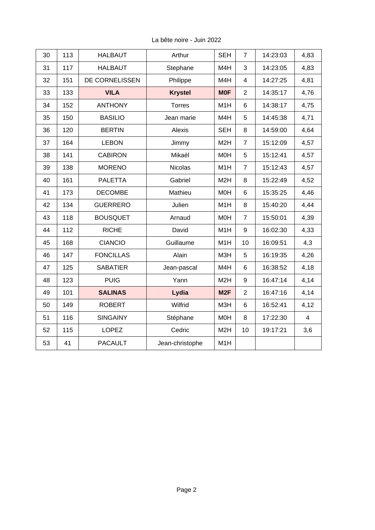| 30 | 113 | <b>HALBAUT</b>   | Arthur          | <b>SEH</b>       | $\overline{7}$ | 14:23:03 | 4,83           |
|----|-----|------------------|-----------------|------------------|----------------|----------|----------------|
| 31 | 117 | <b>HALBAUT</b>   | Stephane        | M4H              | 3              | 14:23:05 | 4,83           |
| 32 | 151 | DE CORNELISSEN   | Philippe        | M4H              | $\overline{4}$ | 14:27:25 | 4,81           |
| 33 | 133 | <b>VILA</b>      | <b>Krystel</b>  | <b>MOF</b>       | $\overline{2}$ | 14:35:17 | 4,76           |
| 34 | 152 | <b>ANTHONY</b>   | <b>Torres</b>   | M1H              | 6              | 14:38:17 | 4,75           |
| 35 | 150 | <b>BASILIO</b>   | Jean marie      | M4H              | 5              | 14:45:38 | 4,71           |
| 36 | 120 | <b>BERTIN</b>    | Alexis          | <b>SEH</b>       | 8              | 14:59:00 | 4,64           |
| 37 | 164 | <b>LEBON</b>     | Jimmy           | M <sub>2</sub> H | $\overline{7}$ | 15:12:09 | 4,57           |
| 38 | 141 | <b>CABIRON</b>   | Mikaél          | <b>MOH</b>       | 5              | 15:12:41 | 4,57           |
| 39 | 138 | <b>MORENO</b>    | <b>Nicolas</b>  | M1H              | $\overline{7}$ | 15:12:43 | 4,57           |
| 40 | 161 | <b>PALETTA</b>   | Gabriel         | M <sub>2</sub> H | 8              | 15:22:49 | 4,52           |
| 41 | 173 | <b>DECOMBE</b>   | Mathieu         | M0H              | 6              | 15:35:25 | 4,46           |
| 42 | 134 | <b>GUERRERO</b>  | Julien          | M1H              | 8              | 15:40:20 | 4,44           |
| 43 | 118 | <b>BOUSQUET</b>  | Arnaud          | M0H              | $\overline{7}$ | 15:50:01 | 4,39           |
| 44 | 112 | <b>RICHE</b>     | David           | M1H              | 9              | 16:02:30 | 4,33           |
| 45 | 168 | <b>CIANCIO</b>   | Guillaume       | M1H              | 10             | 16:09:51 | 4,3            |
| 46 | 147 | <b>FONCILLAS</b> | Alain           | M3H              | 5              | 16:19:35 | 4,26           |
| 47 | 125 | <b>SABATIER</b>  | Jean-pascal     | M4H              | 6              | 16:38:52 | 4,18           |
| 48 | 123 | <b>PUIG</b>      | Yann            | M <sub>2</sub> H | 9              | 16:47:14 | 4,14           |
| 49 | 101 | <b>SALINAS</b>   | Lydia           | M <sub>2F</sub>  | $\overline{c}$ | 16:47:16 | 4,14           |
| 50 | 149 | <b>ROBERT</b>    | Wilfrid         | M3H              | 6              | 16:52:41 | 4,12           |
| 51 | 116 | <b>SINGAINY</b>  | Stéphane        | <b>MOH</b>       | 8              | 17:22:30 | $\overline{4}$ |
| 52 | 115 | <b>LOPEZ</b>     | Cedric          | M <sub>2</sub> H | 10             | 19:17:21 | 3,6            |
| 53 | 41  | <b>PACAULT</b>   | Jean-christophe | M1H              |                |          |                |
|    |     |                  |                 |                  |                |          |                |

La bête noire - Juin 2022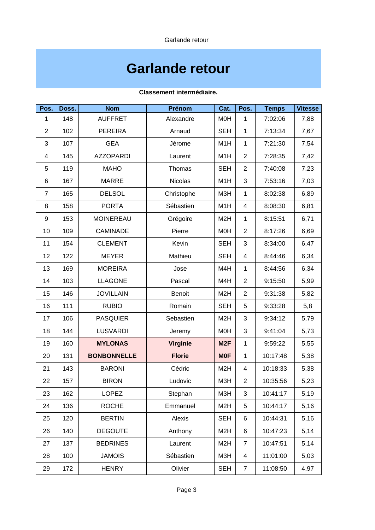Garlande retour

# **Garlande retour**

| Pos.             | Doss. | <b>Nom</b>         | Prénom          | Cat.             | Pos.           | <b>Temps</b> | <b>Vitesse</b> |
|------------------|-------|--------------------|-----------------|------------------|----------------|--------------|----------------|
| $\mathbf{1}$     | 148   | <b>AUFFRET</b>     | Alexandre       | M0H              | $\mathbf{1}$   | 7:02:06      | 7,88           |
| $\overline{2}$   | 102   | <b>PEREIRA</b>     | Arnaud          | <b>SEH</b>       | $\mathbf{1}$   | 7:13:34      | 7,67           |
| 3                | 107   | <b>GEA</b>         | Jérome          | M1H              | $\mathbf{1}$   | 7:21:30      | 7,54           |
| 4                | 145   | <b>AZZOPARDI</b>   | Laurent         | M1H              | $\overline{c}$ | 7:28:35      | 7,42           |
| 5                | 119   | <b>MAHO</b>        | Thomas          | <b>SEH</b>       | $\overline{c}$ | 7:40:08      | 7,23           |
| 6                | 167   | <b>MARRE</b>       | <b>Nicolas</b>  | M1H              | 3              | 7:53:16      | 7,03           |
| $\overline{7}$   | 165   | <b>DELSOL</b>      | Christophe      | M3H              | $\mathbf{1}$   | 8:02:38      | 6,89           |
| 8                | 158   | <b>PORTA</b>       | Sébastien       | M1H              | 4              | 8:08:30      | 6,81           |
| $\boldsymbol{9}$ | 153   | <b>MOINEREAU</b>   | Grégoire        | M <sub>2</sub> H | $\mathbf{1}$   | 8:15:51      | 6,71           |
| 10               | 109   | <b>CAMINADE</b>    | Pierre          | M0H              | $\overline{2}$ | 8:17:26      | 6,69           |
| 11               | 154   | <b>CLEMENT</b>     | Kevin           | <b>SEH</b>       | 3              | 8:34:00      | 6,47           |
| 12               | 122   | <b>MEYER</b>       | Mathieu         | <b>SEH</b>       | 4              | 8:44:46      | 6,34           |
| 13               | 169   | <b>MOREIRA</b>     | Jose            | M4H              | $\mathbf{1}$   | 8:44:56      | 6,34           |
| 14               | 103   | <b>LLAGONE</b>     | Pascal          | M4H              | $\overline{c}$ | 9:15:50      | 5,99           |
| 15               | 146   | <b>JOVILLAIN</b>   | <b>Benoit</b>   | M <sub>2</sub> H | $\overline{c}$ | 9:31:38      | 5,82           |
| 16               | 111   | <b>RUBIO</b>       | Romain          | <b>SEH</b>       | 5              | 9:33:28      | 5,8            |
| 17               | 106   | <b>PASQUIER</b>    | Sebastien       | M <sub>2</sub> H | 3              | 9:34:12      | 5,79           |
| 18               | 144   | <b>LUSVARDI</b>    | Jeremy          | M <sub>O</sub> H | 3              | 9:41:04      | 5,73           |
| 19               | 160   | <b>MYLONAS</b>     | <b>Virginie</b> | M <sub>2F</sub>  | $\mathbf{1}$   | 9:59:22      | 5,55           |
| 20               | 131   | <b>BONBONNELLE</b> | <b>Florie</b>   | <b>MOF</b>       | $\mathbf{1}$   | 10:17:48     | 5,38           |
| 21               | 143   | <b>BARONI</b>      | Cédric          | M <sub>2</sub> H | 4              | 10:18:33     | 5,38           |
| 22               | 157   | <b>BIRON</b>       | Ludovic         | M3H              | $\overline{c}$ | 10:35:56     | 5,23           |
| 23               | 162   | LOPEZ              | Stephan         | M3H              | 3              | 10:41:17     | 5,19           |
| 24               | 136   | <b>ROCHE</b>       | Emmanuel        | M <sub>2</sub> H | 5              | 10:44:17     | 5,16           |
| 25               | 120   | <b>BERTIN</b>      | Alexis          | <b>SEH</b>       | 6              | 10:44:31     | 5,16           |
| 26               | 140   | <b>DEGOUTE</b>     | Anthony         | M <sub>2</sub> H | 6              | 10:47:23     | 5,14           |
| 27               | 137   | <b>BEDRINES</b>    | Laurent         | M <sub>2</sub> H | $\overline{7}$ | 10:47:51     | 5,14           |
| 28               | 100   | <b>JAMOIS</b>      | Sébastien       | M3H              | 4              | 11:01:00     | 5,03           |
| 29               | 172   | <b>HENRY</b>       | Olivier         | <b>SEH</b>       | $\overline{7}$ | 11:08:50     | 4,97           |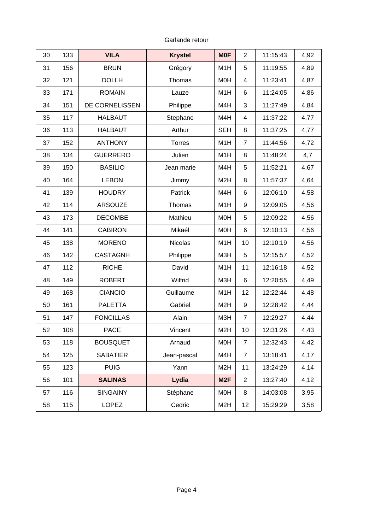Garlande retour

| 30 | 133 | <b>VILA</b>      | <b>Krystel</b> | <b>MOF</b>       | $\overline{2}$ | 11:15:43 | 4,92 |
|----|-----|------------------|----------------|------------------|----------------|----------|------|
| 31 | 156 | <b>BRUN</b>      | Grégory        | M1H              | 5              | 11:19:55 | 4,89 |
| 32 | 121 | <b>DOLLH</b>     | Thomas         | <b>MOH</b>       | 4              | 11:23:41 | 4,87 |
| 33 | 171 | <b>ROMAIN</b>    | Lauze          | M1H              | 6              | 11:24:05 | 4,86 |
| 34 | 151 | DE CORNELISSEN   | Philippe       | M4H              | 3              | 11:27:49 | 4,84 |
| 35 | 117 | <b>HALBAUT</b>   | Stephane       | M4H              | $\overline{4}$ | 11:37:22 | 4,77 |
| 36 | 113 | <b>HALBAUT</b>   | Arthur         | <b>SEH</b>       | 8              | 11:37:25 | 4,77 |
| 37 | 152 | <b>ANTHONY</b>   | <b>Torres</b>  | M1H              | $\overline{7}$ | 11:44:56 | 4,72 |
| 38 | 134 | <b>GUERRERO</b>  | Julien         | M1H              | 8              | 11:48:24 | 4,7  |
| 39 | 150 | <b>BASILIO</b>   | Jean marie     | M4H              | 5              | 11:52:21 | 4,67 |
| 40 | 164 | <b>LEBON</b>     | Jimmy          | M <sub>2</sub> H | 8              | 11:57:37 | 4,64 |
| 41 | 139 | <b>HOUDRY</b>    | Patrick        | M4H              | 6              | 12:06:10 | 4,58 |
| 42 | 114 | <b>ARSOUZE</b>   | Thomas         | M1H              | 9              | 12:09:05 | 4,56 |
| 43 | 173 | <b>DECOMBE</b>   | Mathieu        | <b>MOH</b>       | 5              | 12:09:22 | 4,56 |
| 44 | 141 | <b>CABIRON</b>   | Mikaél         | <b>MOH</b>       | 6              | 12:10:13 | 4,56 |
| 45 | 138 | <b>MORENO</b>    | <b>Nicolas</b> | M1H              | 10             | 12:10:19 | 4,56 |
| 46 | 142 | <b>CASTAGNH</b>  | Philippe       | M3H              | 5              | 12:15:57 | 4,52 |
| 47 | 112 | <b>RICHE</b>     | David          | M1H              | 11             | 12:16:18 | 4,52 |
| 48 | 149 | <b>ROBERT</b>    | Wilfrid        | M3H              | 6              | 12:20:55 | 4,49 |
| 49 | 168 | <b>CIANCIO</b>   | Guillaume      | M1H              | 12             | 12:22:44 | 4,48 |
| 50 | 161 | <b>PALETTA</b>   | Gabriel        | M <sub>2</sub> H | 9              | 12:28:42 | 4,44 |
| 51 | 147 | <b>FONCILLAS</b> | Alain          | M3H              | $\overline{7}$ | 12:29:27 | 4,44 |
| 52 | 108 | PACE             | Vincent        | M <sub>2</sub> H | $10\,$         | 12:31:26 | 4,43 |
| 53 | 118 | <b>BOUSQUET</b>  | Arnaud         | <b>MOH</b>       | $\overline{7}$ | 12:32:43 | 4,42 |
| 54 | 125 | <b>SABATIER</b>  | Jean-pascal    | M4H              | $\overline{7}$ | 13:18:41 | 4,17 |
| 55 | 123 | <b>PUIG</b>      | Yann           | M <sub>2</sub> H | 11             | 13:24:29 | 4,14 |
| 56 | 101 | <b>SALINAS</b>   | Lydia          | M <sub>2F</sub>  | $\overline{2}$ | 13:27:40 | 4,12 |
| 57 | 116 | <b>SINGAINY</b>  | Stéphane       | <b>MOH</b>       | 8              | 14:03:08 | 3,95 |
| 58 | 115 | <b>LOPEZ</b>     | Cedric         | M <sub>2</sub> H | 12             | 15:29:29 | 3,58 |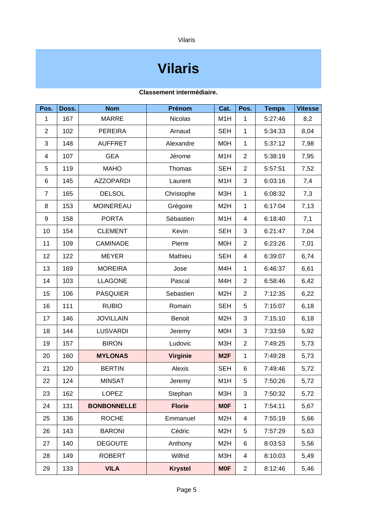Vilaris

## **Vilaris**

| Pos.           | Doss. | <b>Nom</b>         | Prénom          | Cat.             | Pos.           | <b>Temps</b> | <b>Vitesse</b> |
|----------------|-------|--------------------|-----------------|------------------|----------------|--------------|----------------|
| $\mathbf{1}$   | 167   | <b>MARRE</b>       | <b>Nicolas</b>  | M1H              | $\mathbf{1}$   | 5:27:46      | 8,2            |
| $\overline{2}$ | 102   | <b>PEREIRA</b>     | Arnaud          | <b>SEH</b>       | $\mathbf{1}$   | 5:34:33      | 8,04           |
| 3              | 148   | <b>AUFFRET</b>     | Alexandre       | M0H              | $\mathbf{1}$   | 5:37:12      | 7,98           |
| 4              | 107   | <b>GEA</b>         | Jérome          | M1H              | $\overline{c}$ | 5:38:19      | 7,95           |
| 5              | 119   | <b>MAHO</b>        | Thomas          | <b>SEH</b>       | $\overline{c}$ | 5:57:51      | 7,52           |
| 6              | 145   | <b>AZZOPARDI</b>   | Laurent         | M1H              | 3              | 6:03:16      | 7,4            |
| $\overline{7}$ | 165   | <b>DELSOL</b>      | Christophe      | M3H              | $\mathbf{1}$   | 6:08:32      | 7,3            |
| 8              | 153   | <b>MOINEREAU</b>   | Grégoire        | M <sub>2</sub> H | $\mathbf{1}$   | 6:17:04      | 7,13           |
| 9              | 158   | <b>PORTA</b>       | Sébastien       | M1H              | 4              | 6:18:40      | 7,1            |
| 10             | 154   | <b>CLEMENT</b>     | Kevin           | <b>SEH</b>       | 3              | 6:21:47      | 7,04           |
| 11             | 109   | <b>CAMINADE</b>    | Pierre          | <b>MOH</b>       | $\overline{c}$ | 6:23:26      | 7,01           |
| 12             | 122   | <b>MEYER</b>       | Mathieu         | <b>SEH</b>       | 4              | 6:39:07      | 6,74           |
| 13             | 169   | <b>MOREIRA</b>     | Jose            | M4H              | $\mathbf{1}$   | 6:46:37      | 6,61           |
| 14             | 103   | <b>LLAGONE</b>     | Pascal          | M4H              | $\overline{c}$ | 6:58:46      | 6,42           |
| 15             | 106   | <b>PASQUIER</b>    | Sebastien       | M <sub>2</sub> H | $\overline{c}$ | 7:12:35      | 6,22           |
| 16             | 111   | <b>RUBIO</b>       | Romain          | <b>SEH</b>       | 5              | 7:15:07      | 6,18           |
| 17             | 146   | <b>JOVILLAIN</b>   | <b>Benoit</b>   | M <sub>2</sub> H | 3              | 7:15:10      | 6,18           |
| 18             | 144   | <b>LUSVARDI</b>    | Jeremy          | M <sub>O</sub> H | 3              | 7:33:59      | 5,92           |
| 19             | 157   | <b>BIRON</b>       | Ludovic         | M3H              | $\overline{c}$ | 7:49:25      | 5,73           |
| 20             | 160   | <b>MYLONAS</b>     | <b>Virginie</b> | M <sub>2F</sub>  | $\mathbf{1}$   | 7:49:28      | 5,73           |
| 21             | 120   | <b>BERTIN</b>      | Alexis          | <b>SEH</b>       | 6              | 7:49:46      | 5,72           |
| 22             | 124   | <b>MINSAT</b>      | Jeremy          | M1H              | 5              | 7:50:26      | 5,72           |
| 23             | 162   | <b>LOPEZ</b>       | Stephan         | M3H              | 3              | 7:50:32      | 5,72           |
| 24             | 131   | <b>BONBONNELLE</b> | <b>Florie</b>   | <b>MOF</b>       | $\mathbf{1}$   | 7:54:11      | 5,67           |
| 25             | 136   | <b>ROCHE</b>       | Emmanuel        | M <sub>2</sub> H | 4              | 7:55:19      | 5,66           |
| 26             | 143   | <b>BARONI</b>      | Cédric          | M <sub>2</sub> H | 5              | 7:57:29      | 5,63           |
| 27             | 140   | <b>DEGOUTE</b>     | Anthony         | M <sub>2</sub> H | 6              | 8:03:53      | 5,56           |
| 28             | 149   | <b>ROBERT</b>      | Wilfrid         | M3H              | 4              | 8:10:03      | 5,49           |
| 29             | 133   | <b>VILA</b>        | <b>Krystel</b>  | <b>MOF</b>       | $\overline{c}$ | 8:12:46      | 5,46           |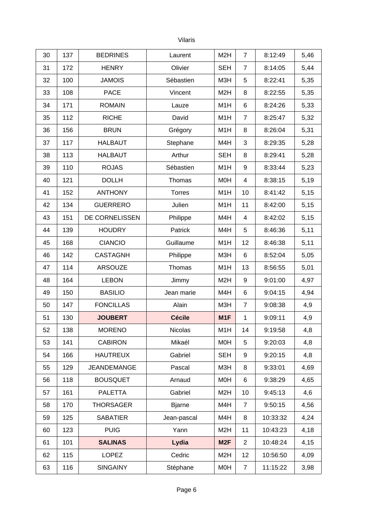### Vilaris

| 30 | 137 | <b>BEDRINES</b>    | Laurent       | M <sub>2</sub> H | $\overline{7}$ | 8:12:49  | 5,46 |
|----|-----|--------------------|---------------|------------------|----------------|----------|------|
| 31 | 172 | <b>HENRY</b>       | Olivier       | <b>SEH</b>       | 7              | 8:14:05  | 5,44 |
| 32 | 100 | <b>JAMOIS</b>      | Sébastien     | M3H              | 5              | 8:22:41  | 5,35 |
| 33 | 108 | <b>PACE</b>        | Vincent       | M <sub>2</sub> H | 8              | 8:22:55  | 5,35 |
| 34 | 171 | <b>ROMAIN</b>      | Lauze         | M1H              | 6              | 8:24:26  | 5,33 |
| 35 | 112 | <b>RICHE</b>       | David         | M1H              | $\overline{7}$ | 8:25:47  | 5,32 |
| 36 | 156 | <b>BRUN</b>        | Grégory       | M1H              | 8              | 8:26:04  | 5,31 |
| 37 | 117 | <b>HALBAUT</b>     | Stephane      | M4H              | 3              | 8:29:35  | 5,28 |
| 38 | 113 | <b>HALBAUT</b>     | Arthur        | <b>SEH</b>       | 8              | 8:29:41  | 5,28 |
| 39 | 110 | <b>ROJAS</b>       | Sébastien     | M1H              | 9              | 8:33:44  | 5,23 |
| 40 | 121 | <b>DOLLH</b>       | Thomas        | <b>MOH</b>       | 4              | 8:38:15  | 5,19 |
| 41 | 152 | <b>ANTHONY</b>     | <b>Torres</b> | M1H              | 10             | 8:41:42  | 5,15 |
| 42 | 134 | <b>GUERRERO</b>    | Julien        | M1H              | 11             | 8:42:00  | 5,15 |
| 43 | 151 | DE CORNELISSEN     | Philippe      | M4H              | 4              | 8:42:02  | 5,15 |
| 44 | 139 | <b>HOUDRY</b>      | Patrick       | M4H              | 5              | 8:46:36  | 5,11 |
| 45 | 168 | <b>CIANCIO</b>     | Guillaume     | M1H              | 12             | 8:46:38  | 5,11 |
| 46 | 142 | <b>CASTAGNH</b>    | Philippe      | M3H              | 6              | 8:52:04  | 5,05 |
| 47 | 114 | ARSOUZE            | Thomas        | M1H              | 13             | 8:56:55  | 5,01 |
| 48 | 164 | <b>LEBON</b>       | Jimmy         | M <sub>2</sub> H | 9              | 9:01:00  | 4,97 |
| 49 | 150 | <b>BASILIO</b>     | Jean marie    | M4H              | 6              | 9:04:15  | 4,94 |
| 50 | 147 | <b>FONCILLAS</b>   | Alain         | M3H              | $\overline{7}$ | 9:08:38  | 4,9  |
| 51 | 130 | <b>JOUBERT</b>     | <b>Cécile</b> | M1F              | $\mathbf{1}$   | 9:09:11  | 4,9  |
| 52 | 138 | <b>MORENO</b>      | Nicolas       | M1H              | 14             | 9:19:58  | 4,8  |
| 53 | 141 | <b>CABIRON</b>     | Mikaél        | <b>MOH</b>       | 5              | 9:20:03  | 4,8  |
| 54 | 166 | <b>HAUTREUX</b>    | Gabriel       | <b>SEH</b>       | 9              | 9:20:15  | 4,8  |
| 55 | 129 | <b>JEANDEMANGE</b> | Pascal        | M3H              | 8              | 9:33:01  | 4,69 |
| 56 | 118 | <b>BOUSQUET</b>    | Arnaud        | <b>MOH</b>       | 6              | 9:38:29  | 4,65 |
| 57 | 161 | <b>PALETTA</b>     | Gabriel       | M <sub>2</sub> H | 10             | 9:45:13  | 4,6  |
| 58 | 170 | <b>THORSAGER</b>   | <b>Bjarne</b> | M4H              | $\overline{7}$ | 9:50:15  | 4,56 |
| 59 | 125 | <b>SABATIER</b>    | Jean-pascal   | M4H              | 8              | 10:33:32 | 4,24 |
| 60 | 123 | <b>PUIG</b>        | Yann          | M <sub>2</sub> H | 11             | 10:43:23 | 4,18 |
| 61 | 101 | <b>SALINAS</b>     | Lydia         | M <sub>2F</sub>  | $\overline{c}$ | 10:48:24 | 4,15 |
| 62 | 115 | <b>LOPEZ</b>       | Cedric        | M <sub>2</sub> H | 12             | 10:56:50 | 4,09 |
| 63 | 116 | <b>SINGAINY</b>    | Stéphane      | <b>MOH</b>       | $\overline{7}$ | 11:15:22 | 3,98 |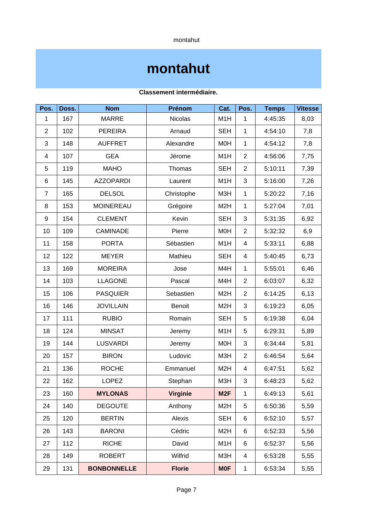montahut

### **montahut**

| Pos.           | Doss. | <b>Nom</b>         | Prénom          | Cat.             | Pos.           | <b>Temps</b> | <b>Vitesse</b> |
|----------------|-------|--------------------|-----------------|------------------|----------------|--------------|----------------|
| $\mathbf{1}$   | 167   | <b>MARRE</b>       | <b>Nicolas</b>  | M1H              | $\mathbf{1}$   | 4:45:35      | 8,03           |
| $\overline{c}$ | 102   | <b>PEREIRA</b>     | Arnaud          | <b>SEH</b>       | $\mathbf{1}$   | 4:54:10      | 7,8            |
| 3              | 148   | <b>AUFFRET</b>     | Alexandre       | M <sub>O</sub> H | $\mathbf{1}$   | 4:54:12      | 7,8            |
| 4              | 107   | <b>GEA</b>         | Jérome          | M1H              | $\overline{2}$ | 4:56:06      | 7,75           |
| 5              | 119   | <b>MAHO</b>        | Thomas          | <b>SEH</b>       | $\overline{2}$ | 5:10:11      | 7,39           |
| 6              | 145   | <b>AZZOPARDI</b>   | Laurent         | M1H              | 3              | 5:16:00      | 7,26           |
| 7              | 165   | <b>DELSOL</b>      | Christophe      | M3H              | $\mathbf{1}$   | 5:20:22      | 7,16           |
| 8              | 153   | <b>MOINEREAU</b>   | Grégoire        | M <sub>2</sub> H | $\mathbf{1}$   | 5:27:04      | 7,01           |
| 9              | 154   | <b>CLEMENT</b>     | Kevin           | <b>SEH</b>       | 3              | 5:31:35      | 6,92           |
| 10             | 109   | <b>CAMINADE</b>    | Pierre          | M0H              | $\overline{2}$ | 5:32:32      | 6,9            |
| 11             | 158   | <b>PORTA</b>       | Sébastien       | M1H              | 4              | 5:33:11      | 6,88           |
| 12             | 122   | <b>MEYER</b>       | Mathieu         | <b>SEH</b>       | 4              | 5:40:45      | 6,73           |
| 13             | 169   | <b>MOREIRA</b>     | Jose            | M4H              | $\mathbf{1}$   | 5:55:01      | 6,46           |
| 14             | 103   | <b>LLAGONE</b>     | Pascal          | M4H              | $\overline{c}$ | 6:03:07      | 6,32           |
| 15             | 106   | <b>PASQUIER</b>    | Sebastien       | M <sub>2</sub> H | $\overline{c}$ | 6:14:25      | 6,13           |
| 16             | 146   | <b>JOVILLAIN</b>   | <b>Benoit</b>   | M <sub>2</sub> H | 3              | 6:19:23      | 6,05           |
| 17             | 111   | <b>RUBIO</b>       | Romain          | <b>SEH</b>       | 5              | 6:19:38      | 6,04           |
| 18             | 124   | <b>MINSAT</b>      | Jeremy          | M1H              | 5              | 6:29:31      | 5,89           |
| 19             | 144   | <b>LUSVARDI</b>    | Jeremy          | M <sub>O</sub> H | 3              | 6:34:44      | 5,81           |
| 20             | 157   | <b>BIRON</b>       | Ludovic         | M3H              | $\overline{c}$ | 6:46:54      | 5,64           |
| 21             | 136   | <b>ROCHE</b>       | Emmanuel        | M <sub>2</sub> H | 4              | 6:47:51      | 5,62           |
| 22             | 162   | <b>LOPEZ</b>       | Stephan         | M3H              | 3              | 6:48:23      | 5,62           |
| 23             | 160   | <b>MYLONAS</b>     | <b>Virginie</b> | M <sub>2F</sub>  | $\mathbf{1}$   | 6:49:13      | 5,61           |
| 24             | 140   | <b>DEGOUTE</b>     | Anthony         | M <sub>2</sub> H | 5              | 6:50:36      | 5,59           |
| 25             | 120   | <b>BERTIN</b>      | Alexis          | <b>SEH</b>       | 6              | 6:52:10      | 5,57           |
| 26             | 143   | <b>BARONI</b>      | Cédric          | M <sub>2</sub> H | 6              | 6:52:33      | 5,56           |
| 27             | 112   | <b>RICHE</b>       | David           | M1H              | 6              | 6:52:37      | 5,56           |
| 28             | 149   | <b>ROBERT</b>      | Wilfrid         | M3H              | $\overline{4}$ | 6:53:28      | 5,55           |
| 29             | 131   | <b>BONBONNELLE</b> | <b>Florie</b>   | <b>MOF</b>       | $\mathbf 1$    | 6:53:34      | 5,55           |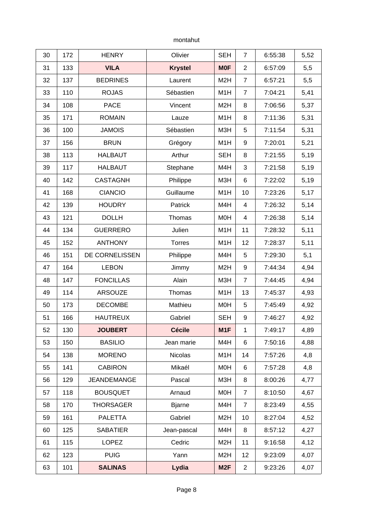montahut

| 30 | 172 | <b>HENRY</b>       | Olivier        | <b>SEH</b>       | $\overline{7}$ | 6:55:38 | 5,52 |
|----|-----|--------------------|----------------|------------------|----------------|---------|------|
| 31 | 133 | <b>VILA</b>        | <b>Krystel</b> | <b>MOF</b>       | $\overline{c}$ | 6:57:09 | 5,5  |
| 32 | 137 | <b>BEDRINES</b>    | Laurent        | M <sub>2</sub> H | $\overline{7}$ | 6:57:21 | 5,5  |
| 33 | 110 | <b>ROJAS</b>       | Sébastien      | M1H              | $\overline{7}$ | 7:04:21 | 5,41 |
| 34 | 108 | <b>PACE</b>        | Vincent        | M <sub>2</sub> H | 8              | 7:06:56 | 5,37 |
| 35 | 171 | <b>ROMAIN</b>      | Lauze          | M1H              | 8              | 7:11:36 | 5,31 |
| 36 | 100 | <b>JAMOIS</b>      | Sébastien      | M3H              | 5              | 7:11:54 | 5,31 |
| 37 | 156 | <b>BRUN</b>        | Grégory        | M1H              | 9              | 7:20:01 | 5,21 |
| 38 | 113 | <b>HALBAUT</b>     | Arthur         | <b>SEH</b>       | 8              | 7:21:55 | 5,19 |
| 39 | 117 | <b>HALBAUT</b>     | Stephane       | M4H              | 3              | 7:21:58 | 5,19 |
| 40 | 142 | <b>CASTAGNH</b>    | Philippe       | M3H              | 6              | 7:22:02 | 5,19 |
| 41 | 168 | <b>CIANCIO</b>     | Guillaume      | M1H              | 10             | 7:23:26 | 5,17 |
| 42 | 139 | <b>HOUDRY</b>      | Patrick        | M4H              | 4              | 7:26:32 | 5,14 |
| 43 | 121 | <b>DOLLH</b>       | Thomas         | M0H              | 4              | 7:26:38 | 5,14 |
| 44 | 134 | <b>GUERRERO</b>    | Julien         | M1H              | 11             | 7:28:32 | 5,11 |
| 45 | 152 | <b>ANTHONY</b>     | Torres         | M1H              | 12             | 7:28:37 | 5,11 |
| 46 | 151 | DE CORNELISSEN     | Philippe       | M4H              | 5              | 7:29:30 | 5,1  |
| 47 | 164 | <b>LEBON</b>       | Jimmy          | M <sub>2</sub> H | 9              | 7:44:34 | 4,94 |
| 48 | 147 | <b>FONCILLAS</b>   | Alain          | M3H              | $\overline{7}$ | 7:44:45 | 4,94 |
| 49 | 114 | <b>ARSOUZE</b>     | Thomas         | M1H              | 13             | 7:45:37 | 4,93 |
| 50 | 173 | <b>DECOMBE</b>     | Mathieu        | M0H              | 5              | 7:45:49 | 4,92 |
| 51 | 166 | <b>HAUTREUX</b>    | Gabriel        | <b>SEH</b>       | 9              | 7:46:27 | 4,92 |
| 52 | 130 | <b>JOUBERT</b>     | <b>Cécile</b>  | M1F              | $\mathbf{1}$   | 7:49:17 | 4,89 |
| 53 | 150 | <b>BASILIO</b>     | Jean marie     | M4H              | 6              | 7:50:16 | 4,88 |
| 54 | 138 | <b>MORENO</b>      | Nicolas        | M1H              | 14             | 7:57:26 | 4,8  |
| 55 | 141 | <b>CABIRON</b>     | Mikaél         | <b>MOH</b>       | 6              | 7:57:28 | 4,8  |
| 56 | 129 | <b>JEANDEMANGE</b> | Pascal         | M3H              | 8              | 8:00:26 | 4,77 |
| 57 | 118 | <b>BOUSQUET</b>    | Arnaud         | M0H              | $\overline{7}$ | 8:10:50 | 4,67 |
| 58 | 170 | <b>THORSAGER</b>   | <b>Bjarne</b>  | M4H              | $\overline{7}$ | 8:23:49 | 4,55 |
| 59 | 161 | <b>PALETTA</b>     | Gabriel        | M <sub>2</sub> H | 10             | 8:27:04 | 4,52 |
| 60 | 125 | <b>SABATIER</b>    | Jean-pascal    | M4H              | 8              | 8:57:12 | 4,27 |
| 61 | 115 | LOPEZ              | Cedric         | M <sub>2</sub> H | 11             | 9:16:58 | 4,12 |
| 62 | 123 | <b>PUIG</b>        | Yann           | M <sub>2</sub> H | 12             | 9:23:09 | 4,07 |
| 63 | 101 | <b>SALINAS</b>     | Lydia          | M <sub>2F</sub>  | $\overline{c}$ | 9:23:26 | 4,07 |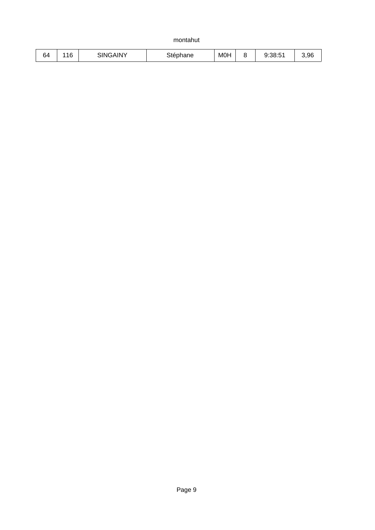montahut

| ⌒<br>64 | $\sim$<br>r<br>⊥⊥∪ | <b>INY</b><br>3INK<br>- 4 | $\sim$<br>$\sim$ $\sim$ $\sim$<br>'iane | MOH | $-1$<br>$\Omega$<br>∴d:5≀ | 3,96 |
|---------|--------------------|---------------------------|-----------------------------------------|-----|---------------------------|------|
|         |                    |                           |                                         |     |                           |      |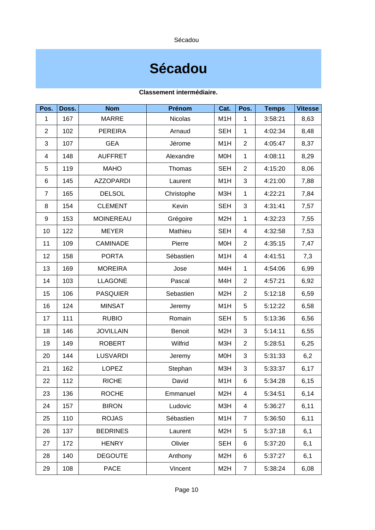Sécadou

### **Sécadou**

| Pos.           | Doss. | <b>Nom</b>       | Prénom         | Cat.             | Pos.           | <b>Temps</b> | <b>Vitesse</b> |
|----------------|-------|------------------|----------------|------------------|----------------|--------------|----------------|
| $\mathbf{1}$   | 167   | <b>MARRE</b>     | <b>Nicolas</b> | M1H              | $\mathbf{1}$   | 3:58:21      | 8,63           |
| $\overline{2}$ | 102   | <b>PEREIRA</b>   | Arnaud         | <b>SEH</b>       | $\mathbf{1}$   | 4:02:34      | 8,48           |
| 3              | 107   | <b>GEA</b>       | Jérome         | M1H              | $\overline{c}$ | 4:05:47      | 8,37           |
| 4              | 148   | <b>AUFFRET</b>   | Alexandre      | M0H              | $\mathbf{1}$   | 4:08:11      | 8,29           |
| 5              | 119   | <b>MAHO</b>      | Thomas         | <b>SEH</b>       | $\overline{2}$ | 4:15:20      | 8,06           |
| 6              | 145   | <b>AZZOPARDI</b> | Laurent        | M1H              | 3              | 4:21:00      | 7,88           |
| 7              | 165   | <b>DELSOL</b>    | Christophe     | M3H              | $\mathbf{1}$   | 4:22:21      | 7,84           |
| 8              | 154   | <b>CLEMENT</b>   | Kevin          | <b>SEH</b>       | 3              | 4:31:41      | 7,57           |
| 9              | 153   | <b>MOINEREAU</b> | Grégoire       | M <sub>2</sub> H | $\mathbf{1}$   | 4:32:23      | 7,55           |
| 10             | 122   | <b>MEYER</b>     | Mathieu        | <b>SEH</b>       | $\overline{4}$ | 4:32:58      | 7,53           |
| 11             | 109   | <b>CAMINADE</b>  | Pierre         | <b>MOH</b>       | $\overline{c}$ | 4:35:15      | 7,47           |
| 12             | 158   | <b>PORTA</b>     | Sébastien      | M1H              | 4              | 4:41:51      | 7,3            |
| 13             | 169   | <b>MOREIRA</b>   | Jose           | M4H              | $\mathbf{1}$   | 4:54:06      | 6,99           |
| 14             | 103   | <b>LLAGONE</b>   | Pascal         | M4H              | $\overline{c}$ | 4:57:21      | 6,92           |
| 15             | 106   | <b>PASQUIER</b>  | Sebastien      | M <sub>2</sub> H | $\overline{c}$ | 5:12:18      | 6,59           |
| 16             | 124   | <b>MINSAT</b>    | Jeremy         | M1H              | 5              | 5:12:22      | 6,58           |
| 17             | 111   | <b>RUBIO</b>     | Romain         | <b>SEH</b>       | 5              | 5:13:36      | 6,56           |
| 18             | 146   | <b>JOVILLAIN</b> | <b>Benoit</b>  | M <sub>2</sub> H | 3              | 5:14:11      | 6,55           |
| 19             | 149   | <b>ROBERT</b>    | Wilfrid        | M3H              | $\overline{c}$ | 5:28:51      | 6,25           |
| 20             | 144   | <b>LUSVARDI</b>  | Jeremy         | M0H              | 3              | 5:31:33      | 6,2            |
| 21             | 162   | <b>LOPEZ</b>     | Stephan        | M3H              | 3              | 5:33:37      | 6,17           |
| 22             | 112   | <b>RICHE</b>     | David          | M1H              | 6              | 5:34:28      | 6,15           |
| 23             | 136   | <b>ROCHE</b>     | Emmanuel       | M <sub>2</sub> H | 4              | 5:34:51      | 6,14           |
| 24             | 157   | <b>BIRON</b>     | Ludovic        | M3H              | $\overline{4}$ | 5:36:27      | 6,11           |
| 25             | 110   | <b>ROJAS</b>     | Sébastien      | M1H              | $\overline{7}$ | 5:36:50      | 6,11           |
| 26             | 137   | <b>BEDRINES</b>  | Laurent        | M <sub>2</sub> H | 5              | 5:37:18      | 6,1            |
| 27             | 172   | <b>HENRY</b>     | Olivier        | <b>SEH</b>       | 6              | 5:37:20      | 6,1            |
| 28             | 140   | <b>DEGOUTE</b>   | Anthony        | M <sub>2</sub> H | 6              | 5:37:27      | 6,1            |
| 29             | 108   | <b>PACE</b>      | Vincent        | M <sub>2</sub> H | $\overline{7}$ | 5:38:24      | 6,08           |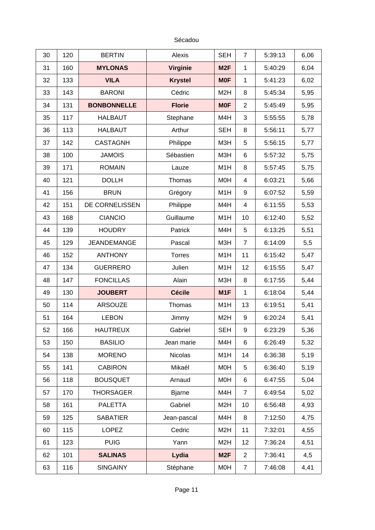Sécadou

| 30 | 120 | <b>BERTIN</b>      | Alexis         | <b>SEH</b>       | $\overline{7}$ | 5:39:13 | 6,06 |
|----|-----|--------------------|----------------|------------------|----------------|---------|------|
| 31 | 160 | <b>MYLONAS</b>     | Virginie       | M <sub>2F</sub>  | $\mathbf{1}$   | 5:40:29 | 6,04 |
| 32 | 133 | <b>VILA</b>        | <b>Krystel</b> | <b>MOF</b>       | $\mathbf{1}$   | 5:41:23 | 6,02 |
| 33 | 143 | <b>BARONI</b>      | Cédric         | M <sub>2</sub> H | 8              | 5:45:34 | 5,95 |
| 34 | 131 | <b>BONBONNELLE</b> | <b>Florie</b>  | <b>MOF</b>       | $\overline{c}$ | 5:45:49 | 5,95 |
| 35 | 117 | <b>HALBAUT</b>     | Stephane       | M4H              | 3              | 5:55:55 | 5,78 |
| 36 | 113 | <b>HALBAUT</b>     | Arthur         | <b>SEH</b>       | 8              | 5:56:11 | 5,77 |
| 37 | 142 | <b>CASTAGNH</b>    | Philippe       | M3H              | 5              | 5:56:15 | 5,77 |
| 38 | 100 | <b>JAMOIS</b>      | Sébastien      | M3H              | $6\phantom{1}$ | 5:57:32 | 5,75 |
| 39 | 171 | <b>ROMAIN</b>      | Lauze          | M1H              | 8              | 5:57:45 | 5,75 |
| 40 | 121 | <b>DOLLH</b>       | Thomas         | M0H              | 4              | 6:03:21 | 5,66 |
| 41 | 156 | <b>BRUN</b>        | Grégory        | M1H              | 9              | 6:07:52 | 5,59 |
| 42 | 151 | DE CORNELISSEN     | Philippe       | M4H              | $\overline{4}$ | 6:11:55 | 5,53 |
| 43 | 168 | <b>CIANCIO</b>     | Guillaume      | M1H              | 10             | 6:12:40 | 5,52 |
| 44 | 139 | <b>HOUDRY</b>      | Patrick        | M4H              | 5              | 6:13:25 | 5,51 |
| 45 | 129 | <b>JEANDEMANGE</b> | Pascal         | M3H              | $\overline{7}$ | 6:14:09 | 5,5  |
| 46 | 152 | <b>ANTHONY</b>     | <b>Torres</b>  | M1H              | 11             | 6:15:42 | 5,47 |
| 47 | 134 | <b>GUERRERO</b>    | Julien         | M1H              | 12             | 6:15:55 | 5,47 |
| 48 | 147 | <b>FONCILLAS</b>   | Alain          | M3H              | 8              | 6:17:55 | 5,44 |
| 49 | 130 | <b>JOUBERT</b>     | <b>Cécile</b>  | M1F              | $\mathbf{1}$   | 6:18:04 | 5,44 |
| 50 | 114 | <b>ARSOUZE</b>     | Thomas         | M1H              | 13             | 6:19:51 | 5,41 |
| 51 | 164 | <b>LEBON</b>       | Jimmy          | M <sub>2</sub> H | 9              | 6:20:24 | 5,41 |
| 52 | 166 | <b>HAUTREUX</b>    | Gabriel        | <b>SEH</b>       | 9              | 6:23:29 | 5,36 |
| 53 | 150 | <b>BASILIO</b>     | Jean marie     | M4H              | 6              | 6:26:49 | 5,32 |
| 54 | 138 | <b>MORENO</b>      | <b>Nicolas</b> | M1H              | 14             | 6:36:38 | 5,19 |
| 55 | 141 | <b>CABIRON</b>     | Mikaél         | M0H              | 5              | 6:36:40 | 5,19 |
| 56 | 118 | <b>BOUSQUET</b>    | Arnaud         | M0H              | 6              | 6:47:55 | 5,04 |
| 57 | 170 | <b>THORSAGER</b>   | <b>Bjarne</b>  | M4H              | $\overline{7}$ | 6:49:54 | 5,02 |
| 58 | 161 | <b>PALETTA</b>     | Gabriel        | M <sub>2</sub> H | 10             | 6:56:48 | 4,93 |
| 59 | 125 | <b>SABATIER</b>    | Jean-pascal    | M4H              | 8              | 7:12:50 | 4,75 |
| 60 | 115 | <b>LOPEZ</b>       | Cedric         | M <sub>2</sub> H | 11             | 7:32:01 | 4,55 |
| 61 | 123 | <b>PUIG</b>        | Yann           | M <sub>2</sub> H | 12             | 7:36:24 | 4,51 |
| 62 | 101 | <b>SALINAS</b>     | Lydia          | M <sub>2F</sub>  | $\overline{c}$ | 7:36:41 | 4,5  |
| 63 | 116 | <b>SINGAINY</b>    | Stéphane       | M0H              | $\overline{7}$ | 7:46:08 | 4,41 |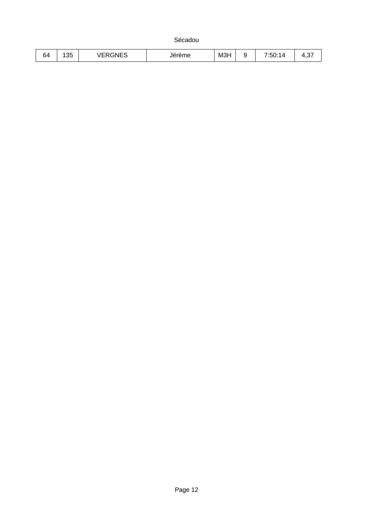Sécadou

| 25<br>∽<br>$-1$<br>$\sim$ $-$<br> |     |    |    |     |      |  |
|-----------------------------------|-----|----|----|-----|------|--|
| ◝–<br>.<br>, ب<br>. .<br>◡᠇       | 'n4 | ∸∪ | не | M3H | 7.50 |  |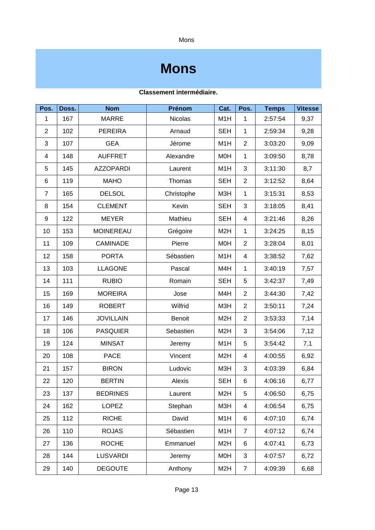Mons

### **Mons**

| Pos.           | Doss. | <b>Nom</b>       | Prénom         | Cat.             | Pos.                     | <b>Temps</b> | <b>Vitesse</b> |
|----------------|-------|------------------|----------------|------------------|--------------------------|--------------|----------------|
| $\mathbf{1}$   | 167   | <b>MARRE</b>     | <b>Nicolas</b> | M1H              | $\mathbf{1}$             | 2:57:54      | 9,37           |
| $\overline{c}$ | 102   | <b>PEREIRA</b>   | Arnaud         | <b>SEH</b>       | $\mathbf{1}$             | 2:59:34      | 9,28           |
| 3              | 107   | <b>GEA</b>       | Jérome         | M1H              | $\overline{c}$           | 3:03:20      | 9,09           |
| 4              | 148   | <b>AUFFRET</b>   | Alexandre      | M0H              | $\mathbf{1}$             | 3:09:50      | 8,78           |
| 5              | 145   | <b>AZZOPARDI</b> | Laurent        | M1H              | 3                        | 3:11:30      | 8,7            |
| 6              | 119   | <b>MAHO</b>      | Thomas         | <b>SEH</b>       | $\overline{c}$           | 3:12:52      | 8,64           |
| $\overline{7}$ | 165   | <b>DELSOL</b>    | Christophe     | M3H              | $\mathbf{1}$             | 3:15:31      | 8,53           |
| 8              | 154   | <b>CLEMENT</b>   | Kevin          | <b>SEH</b>       | 3                        | 3:18:05      | 8,41           |
| 9              | 122   | <b>MEYER</b>     | Mathieu        | <b>SEH</b>       | $\overline{\mathcal{A}}$ | 3:21:46      | 8,26           |
| 10             | 153   | <b>MOINEREAU</b> | Grégoire       | M <sub>2</sub> H | $\mathbf{1}$             | 3:24:25      | 8,15           |
| 11             | 109   | <b>CAMINADE</b>  | Pierre         | <b>MOH</b>       | $\overline{c}$           | 3:28:04      | 8,01           |
| 12             | 158   | <b>PORTA</b>     | Sébastien      | M1H              | $\overline{\mathcal{A}}$ | 3:38:52      | 7,62           |
| 13             | 103   | <b>LLAGONE</b>   | Pascal         | M4H              | $\mathbf{1}$             | 3:40:19      | 7,57           |
| 14             | 111   | <b>RUBIO</b>     | Romain         | <b>SEH</b>       | 5                        | 3:42:37      | 7,49           |
| 15             | 169   | <b>MOREIRA</b>   | Jose           | M4H              | $\overline{c}$           | 3:44:30      | 7,42           |
| 16             | 149   | <b>ROBERT</b>    | Wilfrid        | M3H              | $\overline{c}$           | 3:50:11      | 7,24           |
| 17             | 146   | <b>JOVILLAIN</b> | <b>Benoit</b>  | M <sub>2</sub> H | $\overline{c}$           | 3:53:33      | 7,14           |
| 18             | 106   | <b>PASQUIER</b>  | Sebastien      | M <sub>2</sub> H | 3                        | 3:54:06      | 7,12           |
| 19             | 124   | <b>MINSAT</b>    | Jeremy         | M1H              | 5                        | 3:54:42      | 7,1            |
| 20             | 108   | <b>PACE</b>      | Vincent        | M <sub>2</sub> H | $\overline{4}$           | 4:00:55      | 6,92           |
| 21             | 157   | <b>BIRON</b>     | Ludovic        | M3H              | 3                        | 4:03:39      | 6,84           |
| 22             | 120   | <b>BERTIN</b>    | Alexis         | <b>SEH</b>       | 6                        | 4:06:16      | 6,77           |
| 23             | 137   | <b>BEDRINES</b>  | Laurent        | M <sub>2</sub> H | 5                        | 4:06:50      | 6,75           |
| 24             | 162   | <b>LOPEZ</b>     | Stephan        | M3H              | $\overline{4}$           | 4:06:54      | 6,75           |
| 25             | 112   | <b>RICHE</b>     | David          | M1H              | 6                        | 4:07:10      | 6,74           |
| 26             | 110   | <b>ROJAS</b>     | Sébastien      | M1H              | 7                        | 4:07:12      | 6,74           |
| 27             | 136   | <b>ROCHE</b>     | Emmanuel       | M <sub>2</sub> H | 6                        | 4:07:41      | 6,73           |
| 28             | 144   | <b>LUSVARDI</b>  | Jeremy         | <b>MOH</b>       | 3                        | 4:07:57      | 6,72           |
| 29             | 140   | <b>DEGOUTE</b>   | Anthony        | M <sub>2</sub> H | $\overline{7}$           | 4:09:39      | 6,68           |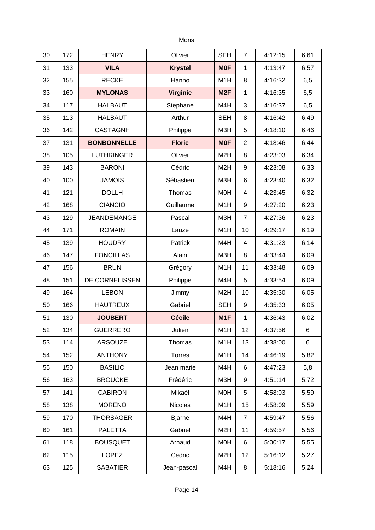### Mons

| 30 | 172 | <b>HENRY</b>       | Olivier         | <b>SEH</b>       | $\overline{7}$ | 4:12:15 | 6,61 |
|----|-----|--------------------|-----------------|------------------|----------------|---------|------|
| 31 | 133 | <b>VILA</b>        | <b>Krystel</b>  | <b>MOF</b>       | $\mathbf{1}$   | 4:13:47 | 6,57 |
| 32 | 155 | <b>RECKE</b>       | Hanno           | M1H              | 8              | 4:16:32 | 6,5  |
| 33 | 160 | <b>MYLONAS</b>     | <b>Virginie</b> | M <sub>2F</sub>  | $\mathbf{1}$   | 4:16:35 | 6,5  |
| 34 | 117 | <b>HALBAUT</b>     | Stephane        | M4H              | 3              | 4:16:37 | 6,5  |
| 35 | 113 | <b>HALBAUT</b>     | Arthur          | <b>SEH</b>       | 8              | 4:16:42 | 6,49 |
| 36 | 142 | <b>CASTAGNH</b>    | Philippe        | M3H              | 5              | 4:18:10 | 6,46 |
| 37 | 131 | <b>BONBONNELLE</b> | <b>Florie</b>   | <b>MOF</b>       | $\overline{c}$ | 4:18:46 | 6,44 |
| 38 | 105 | <b>LUTHRINGER</b>  | Olivier         | M <sub>2</sub> H | 8              | 4:23:03 | 6,34 |
| 39 | 143 | <b>BARONI</b>      | Cédric          | M <sub>2</sub> H | 9              | 4:23:08 | 6,33 |
| 40 | 100 | <b>JAMOIS</b>      | Sébastien       | M3H              | 6              | 4:23:40 | 6,32 |
| 41 | 121 | <b>DOLLH</b>       | Thomas          | <b>MOH</b>       | 4              | 4:23:45 | 6,32 |
| 42 | 168 | <b>CIANCIO</b>     | Guillaume       | M1H              | 9              | 4:27:20 | 6,23 |
| 43 | 129 | <b>JEANDEMANGE</b> | Pascal          | M3H              | $\overline{7}$ | 4:27:36 | 6,23 |
| 44 | 171 | <b>ROMAIN</b>      | Lauze           | M1H              | 10             | 4:29:17 | 6,19 |
| 45 | 139 | <b>HOUDRY</b>      | Patrick         | M4H              | 4              | 4:31:23 | 6,14 |
| 46 | 147 | <b>FONCILLAS</b>   | Alain           | M3H              | 8              | 4:33:44 | 6,09 |
| 47 | 156 | <b>BRUN</b>        | Grégory         | M1H              | 11             | 4:33:48 | 6,09 |
| 48 | 151 | DE CORNELISSEN     | Philippe        | M4H              | 5              | 4:33:54 | 6,09 |
| 49 | 164 | <b>LEBON</b>       | Jimmy           | M <sub>2</sub> H | 10             | 4:35:30 | 6,05 |
| 50 | 166 | <b>HAUTREUX</b>    | Gabriel         | <b>SEH</b>       | 9              | 4:35:33 | 6,05 |
| 51 | 130 | <b>JOUBERT</b>     | <b>Cécile</b>   | M1F              | $\mathbf{1}$   | 4:36:43 | 6,02 |
| 52 | 134 | <b>GUERRERO</b>    | Julien          | M1H              | 12             | 4:37:56 | 6    |
| 53 | 114 | ARSOUZE            | Thomas          | M1H              | 13             | 4:38:00 | 6    |
| 54 | 152 | <b>ANTHONY</b>     | Torres          | M1H              | 14             | 4:46:19 | 5,82 |
| 55 | 150 | <b>BASILIO</b>     | Jean marie      | M4H              | 6              | 4:47:23 | 5,8  |
| 56 | 163 | <b>BROUCKE</b>     | Frédéric        | M3H              | 9              | 4:51:14 | 5,72 |
| 57 | 141 | <b>CABIRON</b>     | Mikaél          | M <sub>O</sub> H | 5              | 4:58:03 | 5,59 |
| 58 | 138 | <b>MORENO</b>      | <b>Nicolas</b>  | M1H              | 15             | 4:58:09 | 5,59 |
| 59 | 170 | <b>THORSAGER</b>   | <b>Bjarne</b>   | M4H              | $\overline{7}$ | 4:59:47 | 5,56 |
| 60 | 161 | <b>PALETTA</b>     | Gabriel         | M <sub>2</sub> H | 11             | 4:59:57 | 5,56 |
| 61 | 118 | <b>BOUSQUET</b>    | Arnaud          | <b>MOH</b>       | 6              | 5:00:17 | 5,55 |
| 62 | 115 | LOPEZ              | Cedric          | M <sub>2</sub> H | 12             | 5:16:12 | 5,27 |
| 63 | 125 | <b>SABATIER</b>    | Jean-pascal     | M4H              | 8              | 5:18:16 | 5,24 |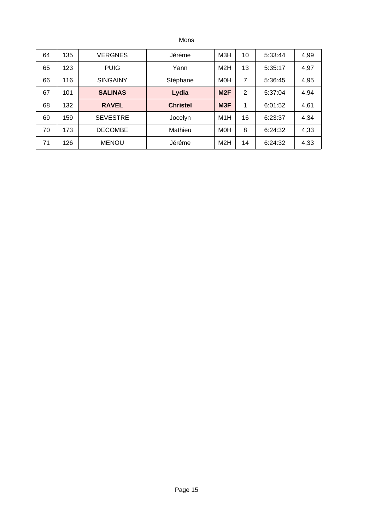Mons

| 64 | 135 | <b>VERGNES</b>  | Jéréme          | МЗН              | 10 | 5:33:44 | 4,99 |
|----|-----|-----------------|-----------------|------------------|----|---------|------|
| 65 | 123 | <b>PUIG</b>     | Yann            | M <sub>2</sub> H | 13 | 5:35:17 | 4,97 |
| 66 | 116 | <b>SINGAINY</b> | Stéphane        | <b>MOH</b>       | 7  | 5:36:45 | 4,95 |
| 67 | 101 | <b>SALINAS</b>  | Lydia           | M2F              | 2  | 5:37:04 | 4,94 |
| 68 | 132 | <b>RAVEL</b>    | <b>Christel</b> | M3F              | 1  | 6:01:52 | 4,61 |
| 69 | 159 | <b>SEVESTRE</b> | Jocelyn         | M1H              | 16 | 6:23:37 | 4,34 |
| 70 | 173 | <b>DECOMBE</b>  | Mathieu         | <b>MOH</b>       | 8  | 6:24:32 | 4,33 |
| 71 | 126 | <b>MENOU</b>    | Jéréme          | M2H              | 14 | 6:24:32 | 4,33 |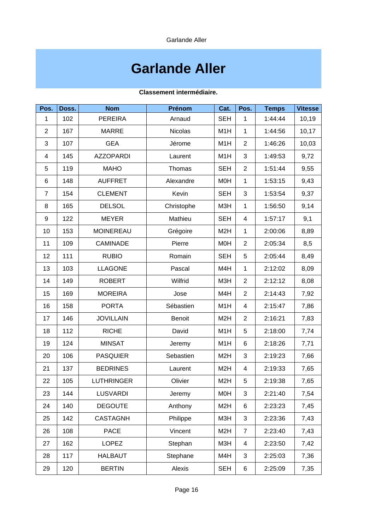Garlande Aller

# **Garlande Aller**

| Pos.           | Doss. | <b>Nom</b>        | Prénom         | Cat.             | Pos.           | <b>Temps</b> | <b>Vitesse</b> |
|----------------|-------|-------------------|----------------|------------------|----------------|--------------|----------------|
| $\mathbf{1}$   | 102   | <b>PEREIRA</b>    | Arnaud         | <b>SEH</b>       | $\mathbf{1}$   | 1:44:44      | 10,19          |
| $\overline{c}$ | 167   | <b>MARRE</b>      | <b>Nicolas</b> | M1H              | $\mathbf{1}$   | 1:44:56      | 10,17          |
| 3              | 107   | <b>GEA</b>        | Jérome         | M1H              | $\overline{2}$ | 1:46:26      | 10,03          |
| 4              | 145   | <b>AZZOPARDI</b>  | Laurent        | M1H              | 3              | 1:49:53      | 9,72           |
| 5              | 119   | <b>MAHO</b>       | Thomas         | <b>SEH</b>       | $\overline{2}$ | 1:51:44      | 9,55           |
| 6              | 148   | <b>AUFFRET</b>    | Alexandre      | M <sub>O</sub> H | $\mathbf{1}$   | 1:53:15      | 9,43           |
| 7              | 154   | <b>CLEMENT</b>    | Kevin          | <b>SEH</b>       | 3              | 1:53:54      | 9,37           |
| 8              | 165   | <b>DELSOL</b>     | Christophe     | M3H              | $\mathbf{1}$   | 1:56:50      | 9,14           |
| 9              | 122   | <b>MEYER</b>      | Mathieu        | <b>SEH</b>       | 4              | 1:57:17      | 9,1            |
| 10             | 153   | <b>MOINEREAU</b>  | Grégoire       | M <sub>2</sub> H | $\mathbf{1}$   | 2:00:06      | 8,89           |
| 11             | 109   | <b>CAMINADE</b>   | Pierre         | <b>MOH</b>       | $\overline{c}$ | 2:05:34      | 8,5            |
| 12             | 111   | <b>RUBIO</b>      | Romain         | <b>SEH</b>       | 5              | 2:05:44      | 8,49           |
| 13             | 103   | <b>LLAGONE</b>    | Pascal         | M4H              | $\mathbf{1}$   | 2:12:02      | 8,09           |
| 14             | 149   | <b>ROBERT</b>     | Wilfrid        | M3H              | $\overline{c}$ | 2:12:12      | 8,08           |
| 15             | 169   | <b>MOREIRA</b>    | Jose           | M4H              | $\overline{c}$ | 2:14:43      | 7,92           |
| 16             | 158   | <b>PORTA</b>      | Sébastien      | M1H              | $\overline{4}$ | 2:15:47      | 7,86           |
| 17             | 146   | <b>JOVILLAIN</b>  | <b>Benoit</b>  | M <sub>2</sub> H | $\overline{c}$ | 2:16:21      | 7,83           |
| 18             | 112   | <b>RICHE</b>      | David          | M1H              | 5              | 2:18:00      | 7,74           |
| 19             | 124   | <b>MINSAT</b>     | Jeremy         | M1H              | $\,6\,$        | 2:18:26      | 7,71           |
| 20             | 106   | <b>PASQUIER</b>   | Sebastien      | M <sub>2</sub> H | 3              | 2:19:23      | 7,66           |
| 21             | 137   | <b>BEDRINES</b>   | Laurent        | M <sub>2</sub> H | $\overline{4}$ | 2:19:33      | 7,65           |
| 22             | 105   | <b>LUTHRINGER</b> | Olivier        | M <sub>2</sub> H | 5              | 2:19:38      | 7,65           |
| 23             | 144   | <b>LUSVARDI</b>   | Jeremy         | M0H              | 3              | 2:21:40      | 7,54           |
| 24             | 140   | <b>DEGOUTE</b>    | Anthony        | M <sub>2</sub> H | 6              | 2:23:23      | 7,45           |
| 25             | 142   | <b>CASTAGNH</b>   | Philippe       | M3H              | 3              | 2:23:36      | 7,43           |
| 26             | 108   | <b>PACE</b>       | Vincent        | M <sub>2</sub> H | $\overline{7}$ | 2:23:40      | 7,43           |
| 27             | 162   | <b>LOPEZ</b>      | Stephan        | M3H              | $\overline{4}$ | 2:23:50      | 7,42           |
| 28             | 117   | <b>HALBAUT</b>    | Stephane       | M4H              | 3              | 2:25:03      | 7,36           |
| 29             | 120   | <b>BERTIN</b>     | Alexis         | <b>SEH</b>       | 6              | 2:25:09      | 7,35           |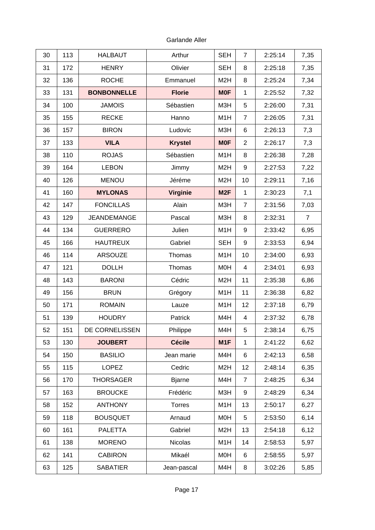Garlande Aller

| 30 | 113 | <b>HALBAUT</b>     | Arthur          | <b>SEH</b>       | $\overline{7}$  | 2:25:14 | 7,35           |
|----|-----|--------------------|-----------------|------------------|-----------------|---------|----------------|
| 31 | 172 | <b>HENRY</b>       | Olivier         | <b>SEH</b>       | 8               | 2:25:18 | 7,35           |
| 32 | 136 | <b>ROCHE</b>       | Emmanuel        | M <sub>2</sub> H | 8               | 2:25:24 | 7,34           |
| 33 | 131 | <b>BONBONNELLE</b> | <b>Florie</b>   | <b>MOF</b>       | $\mathbf{1}$    | 2:25:52 | 7,32           |
| 34 | 100 | <b>JAMOIS</b>      | Sébastien       | M3H              | 5               | 2:26:00 | 7,31           |
| 35 | 155 | <b>RECKE</b>       | Hanno           | M1H              | $\overline{7}$  | 2:26:05 | 7,31           |
| 36 | 157 | <b>BIRON</b>       | Ludovic         | M3H              | $6\phantom{1}6$ | 2:26:13 | 7,3            |
| 37 | 133 | <b>VILA</b>        | <b>Krystel</b>  | <b>MOF</b>       | $\overline{c}$  | 2:26:17 | 7,3            |
| 38 | 110 | <b>ROJAS</b>       | Sébastien       | M1H              | 8               | 2:26:38 | 7,28           |
| 39 | 164 | <b>LEBON</b>       | Jimmy           | M <sub>2</sub> H | 9               | 2:27:53 | 7,22           |
| 40 | 126 | <b>MENOU</b>       | Jéréme          | M <sub>2</sub> H | 10              | 2:29:11 | 7,16           |
| 41 | 160 | <b>MYLONAS</b>     | <b>Virginie</b> | M <sub>2F</sub>  | $\mathbf{1}$    | 2:30:23 | 7,1            |
| 42 | 147 | <b>FONCILLAS</b>   | Alain           | M3H              | $\overline{7}$  | 2:31:56 | 7,03           |
| 43 | 129 | <b>JEANDEMANGE</b> | Pascal          | M3H              | 8               | 2:32:31 | $\overline{7}$ |
| 44 | 134 | <b>GUERRERO</b>    | Julien          | M1H              | 9               | 2:33:42 | 6,95           |
| 45 | 166 | <b>HAUTREUX</b>    | Gabriel         | <b>SEH</b>       | 9               | 2:33:53 | 6,94           |
| 46 | 114 | ARSOUZE            | Thomas          | M1H              | 10              | 2:34:00 | 6,93           |
| 47 | 121 | <b>DOLLH</b>       | Thomas          | M <sub>O</sub> H | $\overline{4}$  | 2:34:01 | 6,93           |
| 48 | 143 | <b>BARONI</b>      | Cédric          | M <sub>2</sub> H | 11              | 2:35:38 | 6,86           |
| 49 | 156 | <b>BRUN</b>        | Grégory         | M1H              | 11              | 2:36:38 | 6,82           |
| 50 | 171 | <b>ROMAIN</b>      | Lauze           | M1H              | 12              | 2:37:18 | 6,79           |
| 51 | 139 | <b>HOUDRY</b>      | Patrick         | M4H              | $\overline{4}$  | 2:37:32 | 6,78           |
| 52 | 151 | DE CORNELISSEN     | Philippe        | M4H              | 5               | 2:38:14 | 6,75           |
| 53 | 130 | <b>JOUBERT</b>     | <b>Cécile</b>   | M1F              | $\mathbf{1}$    | 2:41:22 | 6,62           |
| 54 | 150 | <b>BASILIO</b>     | Jean marie      | M4H              | $\,6$           | 2:42:13 | 6,58           |
| 55 | 115 | LOPEZ              | Cedric          | M <sub>2</sub> H | 12              | 2:48:14 | 6,35           |
| 56 | 170 | <b>THORSAGER</b>   | <b>Bjarne</b>   | M4H              | $\overline{7}$  | 2:48:25 | 6,34           |
| 57 | 163 | <b>BROUCKE</b>     | Frédéric        | M3H              | 9               | 2:48:29 | 6,34           |
| 58 | 152 | <b>ANTHONY</b>     | Torres          | M1H              | 13              | 2:50:17 | 6,27           |
| 59 | 118 | <b>BOUSQUET</b>    | Arnaud          | M <sub>O</sub> H | 5               | 2:53:50 | 6,14           |
| 60 | 161 | <b>PALETTA</b>     | Gabriel         | M <sub>2</sub> H | 13              | 2:54:18 | 6,12           |
| 61 | 138 | <b>MORENO</b>      | <b>Nicolas</b>  | M1H              | 14              | 2:58:53 | 5,97           |
| 62 | 141 | <b>CABIRON</b>     | Mikaél          | M0H              | $6\phantom{1}$  | 2:58:55 | 5,97           |
| 63 | 125 | <b>SABATIER</b>    | Jean-pascal     | M4H              | 8               | 3:02:26 | 5,85           |